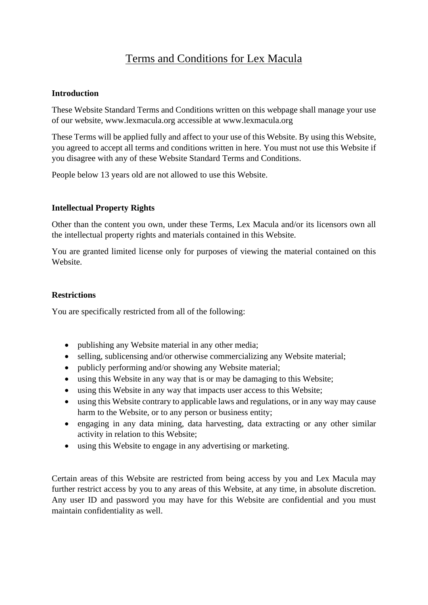# Terms and Conditions for Lex Macula

## **Introduction**

These Website Standard Terms and Conditions written on this webpage shall manage your use of our website, www.lexmacula.org accessible at www.lexmacula.org

These Terms will be applied fully and affect to your use of this Website. By using this Website, you agreed to accept all terms and conditions written in here. You must not use this Website if you disagree with any of these Website Standard Terms and Conditions.

People below 13 years old are not allowed to use this Website.

# **Intellectual Property Rights**

Other than the content you own, under these Terms, Lex Macula and/or its licensors own all the intellectual property rights and materials contained in this Website.

You are granted limited license only for purposes of viewing the material contained on this Website.

## **Restrictions**

You are specifically restricted from all of the following:

- publishing any Website material in any other media;
- selling, sublicensing and/or otherwise commercializing any Website material;
- publicly performing and/or showing any Website material;
- using this Website in any way that is or may be damaging to this Website;
- using this Website in any way that impacts user access to this Website;
- using this Website contrary to applicable laws and regulations, or in any way may cause harm to the Website, or to any person or business entity;
- engaging in any data mining, data harvesting, data extracting or any other similar activity in relation to this Website;
- using this Website to engage in any advertising or marketing.

Certain areas of this Website are restricted from being access by you and Lex Macula may further restrict access by you to any areas of this Website, at any time, in absolute discretion. Any user ID and password you may have for this Website are confidential and you must maintain confidentiality as well.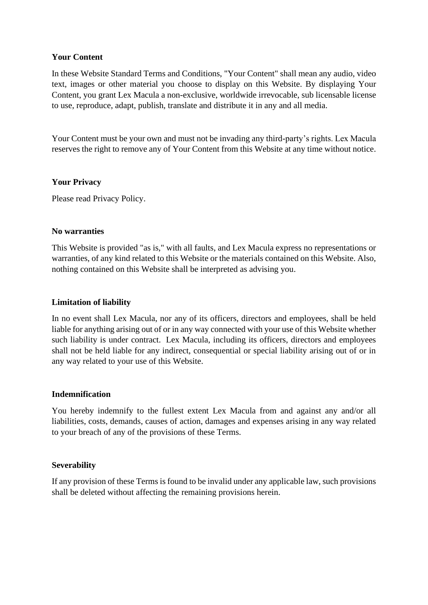# **Your Content**

In these Website Standard Terms and Conditions, "Your Content" shall mean any audio, video text, images or other material you choose to display on this Website. By displaying Your Content, you grant Lex Macula a non-exclusive, worldwide irrevocable, sub licensable license to use, reproduce, adapt, publish, translate and distribute it in any and all media.

Your Content must be your own and must not be invading any third-party's rights. Lex Macula reserves the right to remove any of Your Content from this Website at any time without notice.

# **Your Privacy**

Please read Privacy Policy.

## **No warranties**

This Website is provided "as is," with all faults, and Lex Macula express no representations or warranties, of any kind related to this Website or the materials contained on this Website. Also, nothing contained on this Website shall be interpreted as advising you.

#### **Limitation of liability**

In no event shall Lex Macula, nor any of its officers, directors and employees, shall be held liable for anything arising out of or in any way connected with your use of this Website whether such liability is under contract. Lex Macula, including its officers, directors and employees shall not be held liable for any indirect, consequential or special liability arising out of or in any way related to your use of this Website.

#### **Indemnification**

You hereby indemnify to the fullest extent Lex Macula from and against any and/or all liabilities, costs, demands, causes of action, damages and expenses arising in any way related to your breach of any of the provisions of these Terms.

#### **Severability**

If any provision of these Terms is found to be invalid under any applicable law, such provisions shall be deleted without affecting the remaining provisions herein.